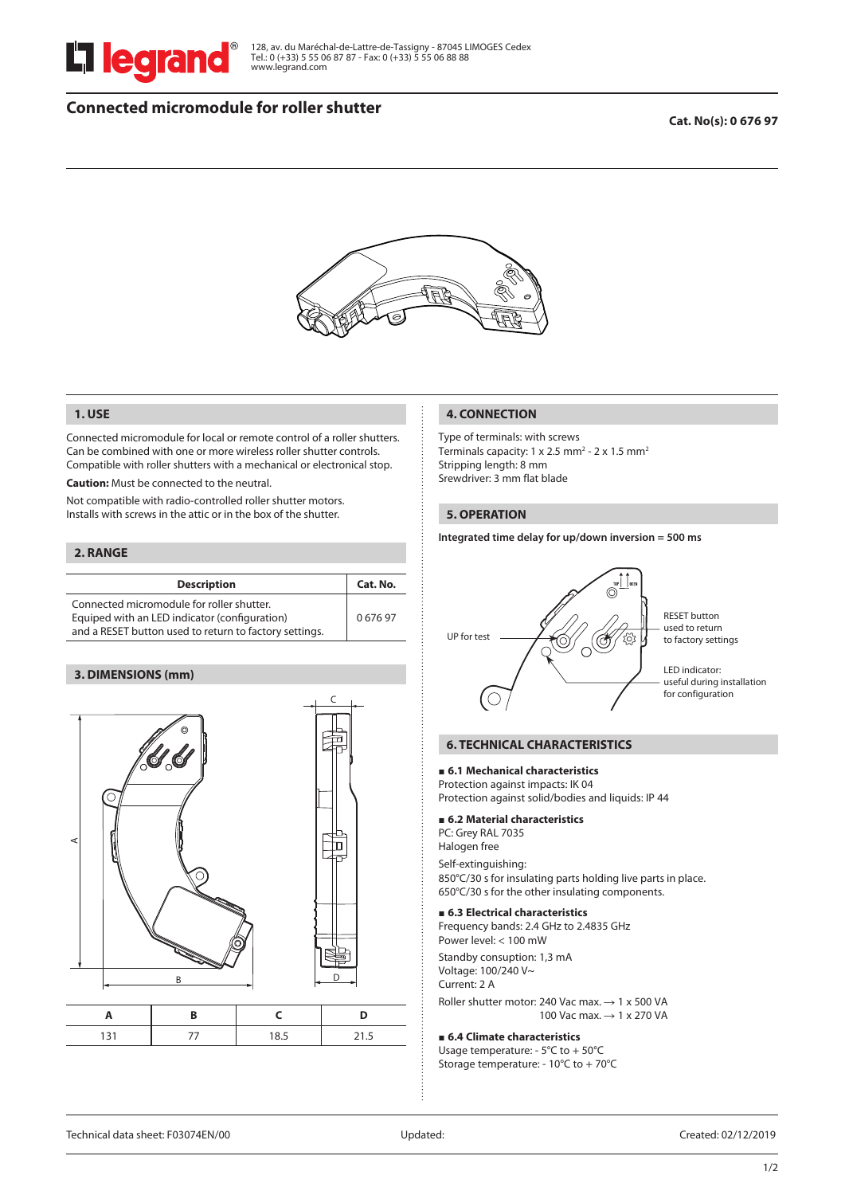

128, av. du Maréchal-de-Lattre-de-Tassigny - 87045 LIMOGES Cedex Tel.: 0 (+33) 5 55 06 87 87 - Fax: 0 (+33) 5 55 06 88 88 www.legrand.com

# **Connected micromodule for roller shutter**

### **Cat. No(s): 0 676 97**



### **1. USE**

Connected micromodule for local or remote control of a roller shutters. Can be combined with one or more wireless roller shutter controls. Compatible with roller shutters with a mechanical or electronical stop.

**Caution:** Must be connected to the neutral.

Not compatible with radio-controlled roller shutter motors. Installs with screws in the attic or in the box of the shutter.

### **2. RANGE**

| <b>Description</b>                                                                                                                                   | Cat. No. |
|------------------------------------------------------------------------------------------------------------------------------------------------------|----------|
| Connected micromodule for roller shutter.<br>Equiped with an LED indicator (configuration)<br>and a RESET button used to return to factory settings. | 067697   |

### **3. DIMENSIONS (mm)**



|  | . |
|--|---|

#### **4. CONNECTION**

Type of terminals: with screws Terminals capacity: 1 x 2.5 mm<sup>2</sup> - 2 x 1.5 mm<sup>2</sup> Stripping length: 8 mm Srewdriver: 3 mm flat blade

#### **5. OPERATION**

**Integrated time delay for up/down inversion = 500 ms**



RESET button used to return to factory settings

LED indicator: useful during installation for configuration

### **6. TECHNICAL CHARACTERISTICS**

#### ■ 6.1 Mechanical characteristics

Protection against impacts: IK 04 Protection against solid/bodies and liquids: IP 44 6

#### **6.2 Material characteristics**

PC: Grey RAL 7035

Halogen free

Self-extinguishing: 850°C/30 s for insulating parts holding live parts in place. 650°C/30 s for the other insulating components.

#### **6.3 Electrical characteristics**

Frequency bands: 2.4 GHz to 2.4835 GHz Power level: < 100 mW

Standby consuption: 1,3 mA Voltage: 100/240 V~ Current: 2 A

Roller shutter motor: 240 Vac max.  $\rightarrow$  1 x 500 VA 100 Vac max.  $\rightarrow$  1 x 270 VA

#### **6.4 Climate characteristics**

Usage temperature: - 5°C to + 50°C Storage temperature: - 10°C to + 70°C